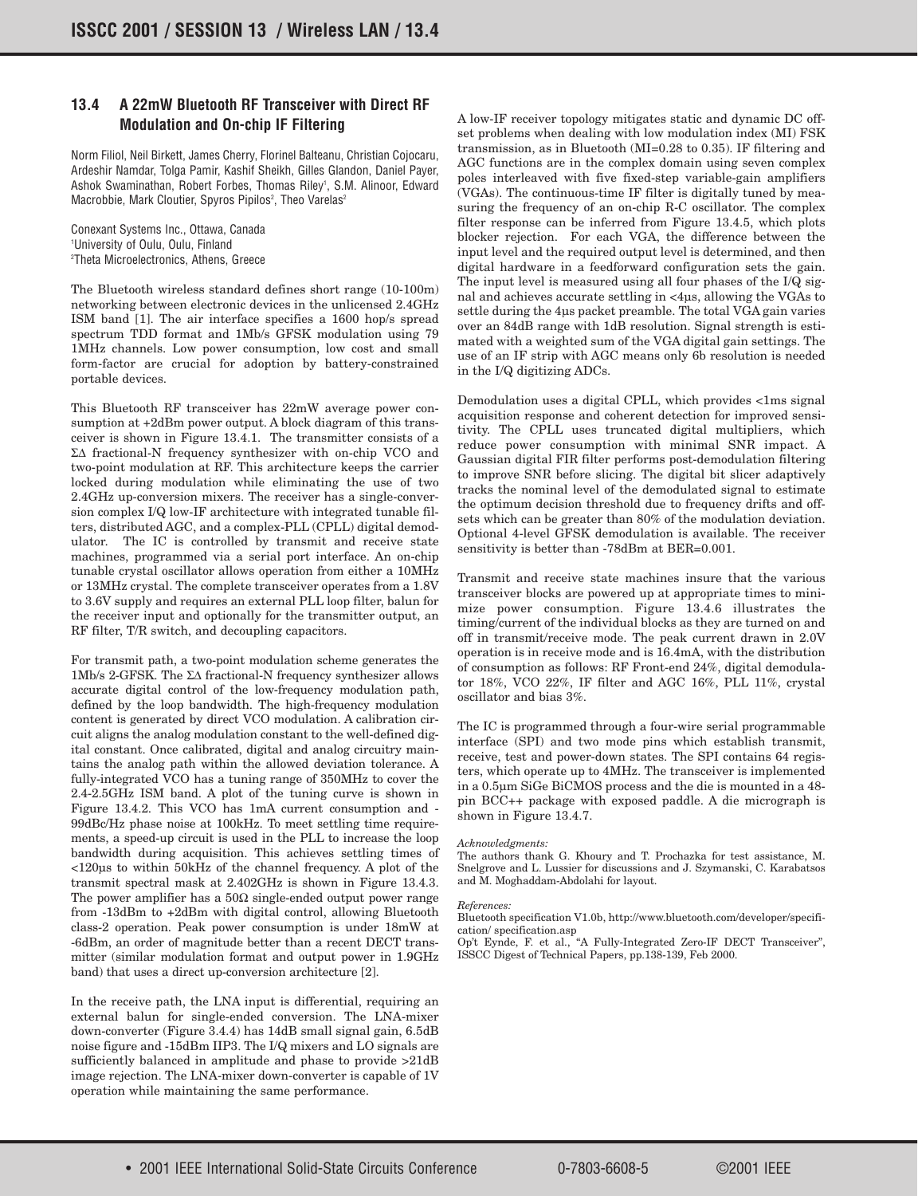## **13.4 A 22mW Bluetooth RF Transceiver with Direct RF Modulation and On-chip IF Filtering**

Norm Filiol, Neil Birkett, James Cherry, Florinel Balteanu, Christian Cojocaru, Ardeshir Namdar, Tolga Pamir, Kashif Sheikh, Gilles Glandon, Daniel Payer, Ashok Swaminathan, Robert Forbes, Thomas Riley<sup>1</sup>, S.M. Alinoor, Edward Macrobbie, Mark Cloutier, Spyros Pipilos<sup>2</sup>, Theo Varelas<sup>2</sup>

Conexant Systems Inc., Ottawa, Canada 1 University of Oulu, Oulu, Finland 2 Theta Microelectronics, Athens, Greece

The Bluetooth wireless standard defines short range (10-100m) networking between electronic devices in the unlicensed 2.4GHz ISM band [1]. The air interface specifies a 1600 hop/s spread spectrum TDD format and 1Mb/s GFSK modulation using 79 1MHz channels. Low power consumption, low cost and small form-factor are crucial for adoption by battery-constrained portable devices.

This Bluetooth RF transceiver has 22mW average power consumption at +2dBm power output. A block diagram of this transceiver is shown in Figure 13.4.1. The transmitter consists of a Σ∆ fractional-N frequency synthesizer with on-chip VCO and two-point modulation at RF. This architecture keeps the carrier locked during modulation while eliminating the use of two 2.4GHz up-conversion mixers. The receiver has a single-conversion complex I/Q low-IF architecture with integrated tunable filters, distributed AGC, and a complex-PLL (CPLL) digital demodulator. The IC is controlled by transmit and receive state machines, programmed via a serial port interface. An on-chip tunable crystal oscillator allows operation from either a 10MHz or 13MHz crystal. The complete transceiver operates from a 1.8V to 3.6V supply and requires an external PLL loop filter, balun for the receiver input and optionally for the transmitter output, an RF filter, T/R switch, and decoupling capacitors.

For transmit path, a two-point modulation scheme generates the 1Mb/s 2-GFSK. The Σ∆ fractional-N frequency synthesizer allows accurate digital control of the low-frequency modulation path, defined by the loop bandwidth. The high-frequency modulation content is generated by direct VCO modulation. A calibration circuit aligns the analog modulation constant to the well-defined digital constant. Once calibrated, digital and analog circuitry maintains the analog path within the allowed deviation tolerance. A fully-integrated VCO has a tuning range of 350MHz to cover the 2.4-2.5GHz ISM band. A plot of the tuning curve is shown in Figure 13.4.2. This VCO has 1mA current consumption and - 99dBc/Hz phase noise at 100kHz. To meet settling time requirements, a speed-up circuit is used in the PLL to increase the loop bandwidth during acquisition. This achieves settling times of <120µs to within 50kHz of the channel frequency. A plot of the transmit spectral mask at 2.402GHz is shown in Figure 13.4.3. The power amplifier has a  $50\Omega$  single-ended output power range from -13dBm to +2dBm with digital control, allowing Bluetooth class-2 operation. Peak power consumption is under 18mW at -6dBm, an order of magnitude better than a recent DECT transmitter (similar modulation format and output power in 1.9GHz band) that uses a direct up-conversion architecture [2].

In the receive path, the LNA input is differential, requiring an external balun for single-ended conversion. The LNA-mixer down-converter (Figure 3.4.4) has 14dB small signal gain, 6.5dB noise figure and -15dBm IIP3. The I/Q mixers and LO signals are sufficiently balanced in amplitude and phase to provide  $>21$ dB image rejection. The LNA-mixer down-converter is capable of 1V operation while maintaining the same performance.

A low-IF receiver topology mitigates static and dynamic DC offset problems when dealing with low modulation index (MI) FSK transmission, as in Bluetooth (MI=0.28 to 0.35). IF filtering and AGC functions are in the complex domain using seven complex poles interleaved with five fixed-step variable-gain amplifiers (VGAs). The continuous-time IF filter is digitally tuned by measuring the frequency of an on-chip R-C oscillator. The complex filter response can be inferred from Figure 13.4.5, which plots blocker rejection. For each VGA, the difference between the input level and the required output level is determined, and then digital hardware in a feedforward configuration sets the gain. The input level is measured using all four phases of the I/Q signal and achieves accurate settling in <4µs, allowing the VGAs to settle during the 4µs packet preamble. The total VGA gain varies over an 84dB range with 1dB resolution. Signal strength is estimated with a weighted sum of the VGA digital gain settings. The use of an IF strip with AGC means only 6b resolution is needed in the I/Q digitizing ADCs.

Demodulation uses a digital CPLL, which provides <1ms signal acquisition response and coherent detection for improved sensitivity. The CPLL uses truncated digital multipliers, which reduce power consumption with minimal SNR impact. A Gaussian digital FIR filter performs post-demodulation filtering to improve SNR before slicing. The digital bit slicer adaptively tracks the nominal level of the demodulated signal to estimate the optimum decision threshold due to frequency drifts and offsets which can be greater than 80% of the modulation deviation. Optional 4-level GFSK demodulation is available. The receiver sensitivity is better than -78dBm at BER=0.001.

Transmit and receive state machines insure that the various transceiver blocks are powered up at appropriate times to minimize power consumption. Figure 13.4.6 illustrates the timing/current of the individual blocks as they are turned on and off in transmit/receive mode. The peak current drawn in 2.0V operation is in receive mode and is 16.4mA, with the distribution of consumption as follows: RF Front-end 24%, digital demodulator 18%, VCO 22%, IF filter and AGC 16%, PLL 11%, crystal oscillator and bias 3%.

The IC is programmed through a four-wire serial programmable interface (SPI) and two mode pins which establish transmit, receive, test and power-down states. The SPI contains 64 registers, which operate up to 4MHz. The transceiver is implemented in a 0.5µm SiGe BiCMOS process and the die is mounted in a 48 pin BCC++ package with exposed paddle. A die micrograph is shown in Figure 13.4.7.

## *Acknowledgments:*

The authors thank G. Khoury and T. Prochazka for test assistance, M. Snelgrove and L. Lussier for discussions and J. Szymanski, C. Karabatsos and M. Moghaddam-Abdolahi for layout.

## *References:*

Bluetooth specification V1.0b, http://www.bluetooth.com/developer/specification/ specification.asp

Op't Eynde, F. et al., "A Fully-Integrated Zero-IF DECT Transceiver", ISSCC Digest of Technical Papers, pp.138-139, Feb 2000.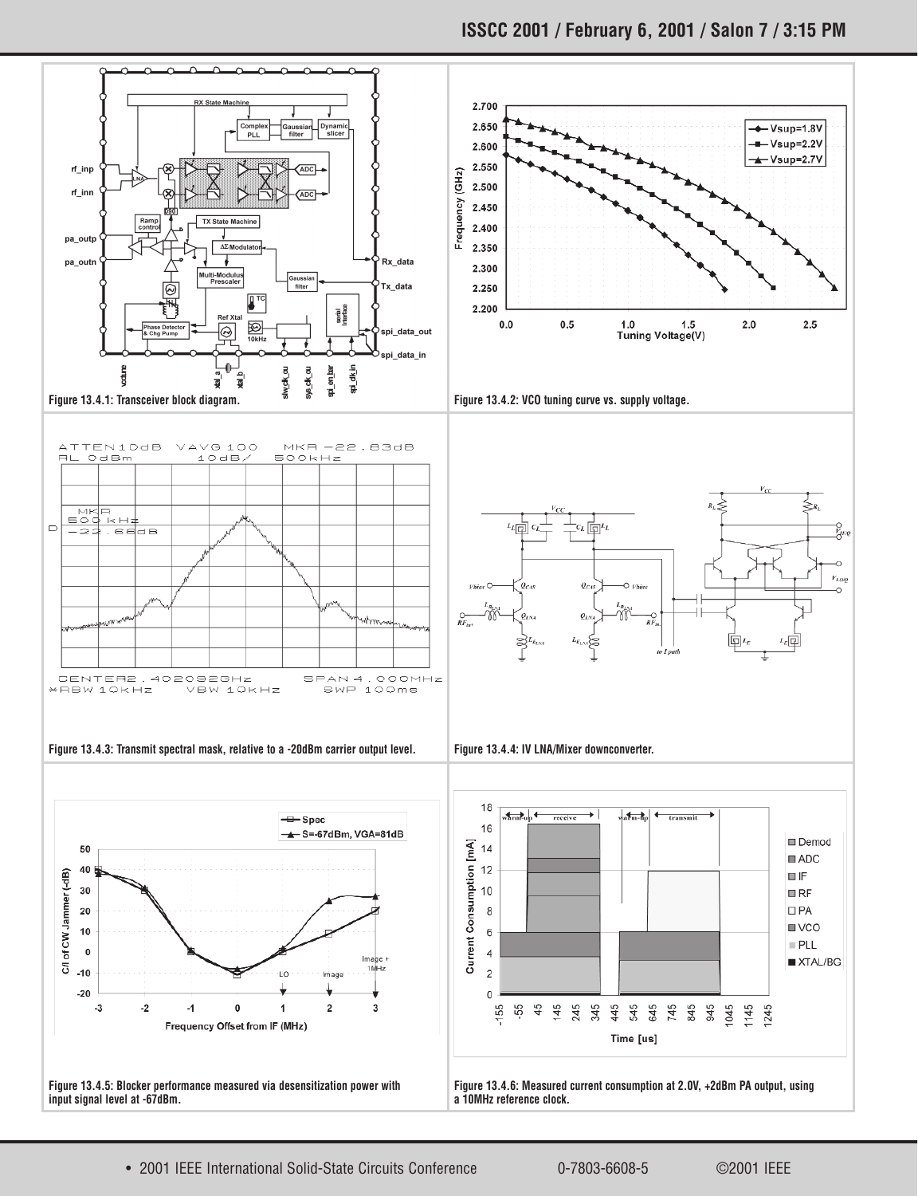

• 2001 IEEE International Solid-State Circuits Conference 0-7803-6608-5 ©2001 IEEE